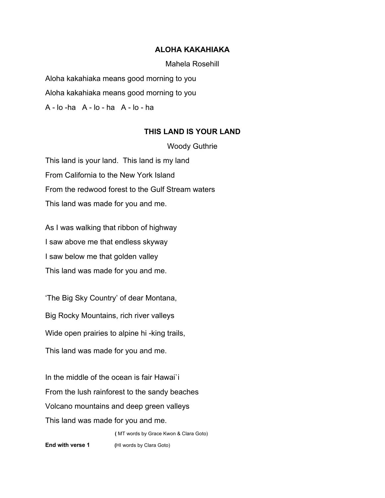## **ALOHA KAKAHIAKA**

Mahela Rosehill

Aloha kakahiaka means good morning to you Aloha kakahiaka means good morning to you A - lo -ha A - lo - ha A - lo - ha

## **THIS LAND IS YOUR LAND**

Woody Guthrie

This land is your land. This land is my land From California to the New York Island From the redwood forest to the Gulf Stream waters This land was made for you and me.

As I was walking that ribbon of highway I saw above me that endless skyway I saw below me that golden valley This land was made for you and me.

'The Big Sky Country' of dear Montana, Big Rocky Mountains, rich river valleys Wide open prairies to alpine hi -king trails, This land was made for you and me.

In the middle of the ocean is fair Hawai`i From the lush rainforest to the sandy beaches Volcano mountains and deep green valleys This land was made for you and me.

**(** MT words by Grace Kwon & Clara Goto)

**End with verse 1** (HI words by Clara Goto)